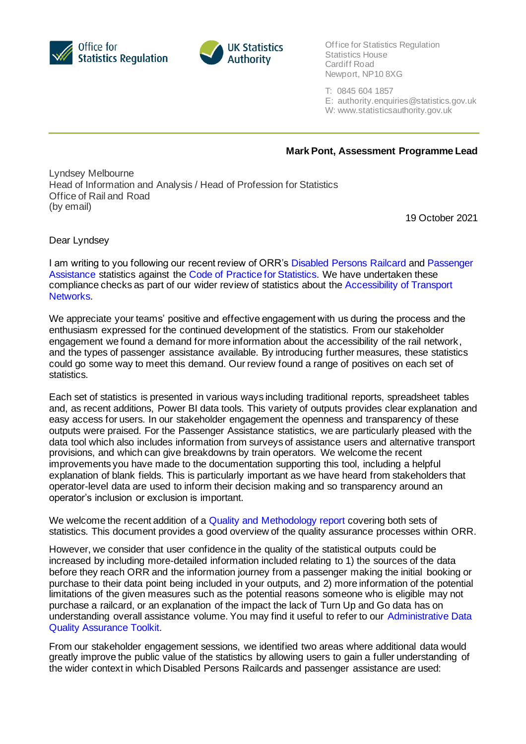



Office for Statistics Regulation Statistics House Cardiff Road Newport, NP10 8XG

- T: 0845 604 1857
- E: authority.enquiries@statistics.gov.uk
- W: www.statisticsauthority.gov.uk

**Mark Pont, Assessment Programme Lead**

Lyndsey Melbourne Head of Information and Analysis / Head of Profession for Statistics Office of Rail and Road (by email)

19 October 2021

Dear Lyndsey

I am writing to you following our recent review of ORR's Disabled Persons Railcard and Passenger Assistance statistics against the Code of Practice for Statistics. We have undertaken these compliance checks as part of our wider review of statistics about the Accessibility of Transport Networks.

We appreciate your teams' positive and effective engagement with us during the process and the enthusiasm expressed for the continued development of the statistics. From our stakeholder engagement we found a demand for more information about the accessibility of the rail network, and the types of passenger assistance available. By introducing further measures, these statistics could go some way to meet this demand. Our review found a range of positives on each set of statistics.

Each set of statistics is presented in various ways including traditional reports, spreadsheet tables and, as recent additions, Power BI data tools. This variety of outputs provides clear explanation and easy access for users. In our stakeholder engagement the openness and transparency of these outputs were praised. For the Passenger Assistance statistics, we are particularly pleased with the data tool which also includes information from surveys of assistance users and alternative transport provisions, and which can give breakdowns by train operators. We welcome the recent improvements you have made to the documentation supporting this tool, including a helpful explanation of blank fields. This is particularly important as we have heard from stakeholders that operator-level data are used to inform their decision making and so transparency around an operator's inclusion or exclusion is important.

We welcome the recent addition of a Quality and Methodology report covering both sets of statistics. This document provides a good overview of the quality assurance processes within ORR.

However, we consider that user confidence in the quality of the statistical outputs could be increased by including more-detailed information included relating to 1) the sources of the data before they reach ORR and the information journey from a passenger making the initial booking or purchase to their data point being included in your outputs, and 2) more information of the potential limitations of the given measures such as the potential reasons someone who is eligible may not purchase a railcard, or an explanation of the impact the lack of Turn Up and Go data has on understanding overall assistance volume. You may find it useful to refer to our Administrative Data Quality Assurance Toolkit.

From our stakeholder engagement sessions, we identified two areas where additional data would greatly improve the public value of the statistics by allowing users to gain a fuller understanding of the wider context in which Disabled Persons Railcards and passenger assistance are used: